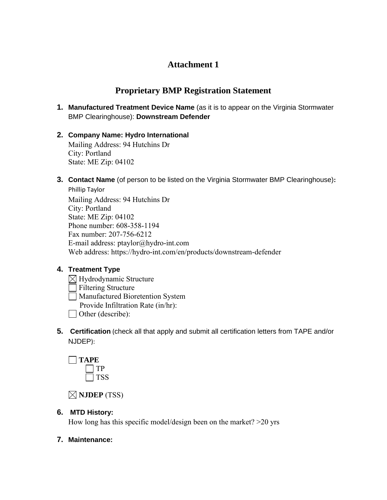## **Attachment 1**

# **Proprietary BMP Registration Statement**

- **1. Manufactured Treatment Device Name** (as it is to appear on the Virginia Stormwater BMP Clearinghouse): **Downstream Defender**
- **2. Company Name: Hydro International** Mailing Address: 94 Hutchins Dr City: Portland State: ME Zip: 04102
- **3. Contact Name** (of person to be listed on the Virginia Stormwater BMP Clearinghouse)**:**

Phillip Taylor Mailing Address: 94 Hutchins Dr City: Portland State: ME Zip: 04102 Phone number: 608-358-1194 Fax number: 207-756-6212 E-mail address: ptaylor@hydro-int.com Web address: https://hydro-int.com/en/products/downstream-defender

## **4. Treatment Type**

- $\boxtimes$  Hydrodynamic Structure
- **Filtering Structure**
- Manufactured Bioretention System
	- Provide Infiltration Rate (in/hr):
- Other (describe):
- **5. Certification** (check all that apply and submit all certification letters from TAPE and/or NJDEP):



**NJDEP** (TSS)

## **6. MTD History:**

How long has this specific model/design been on the market? >20 yrs

#### **7. Maintenance:**